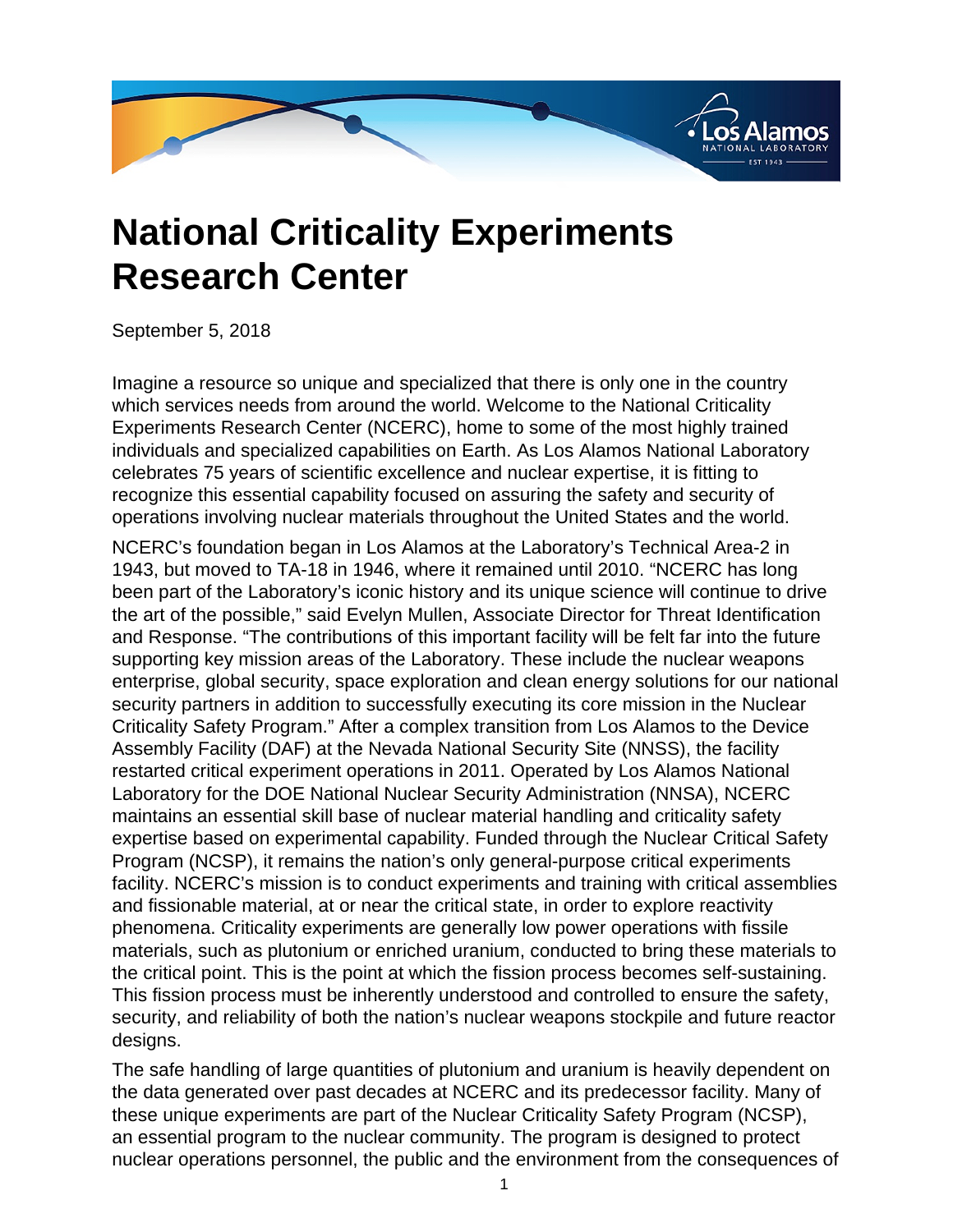

## **National Criticality Experiments Research Center**

September 5, 2018

Imagine a resource so unique and specialized that there is only one in the country which services needs from around the world. Welcome to the National Criticality Experiments Research Center (NCERC), home to some of the most highly trained individuals and specialized capabilities on Earth. As Los Alamos National Laboratory celebrates 75 years of scientific excellence and nuclear expertise, it is fitting to recognize this essential capability focused on assuring the safety and security of operations involving nuclear materials throughout the United States and the world.

NCERC's foundation began in Los Alamos at the Laboratory's Technical Area-2 in 1943, but moved to TA-18 in 1946, where it remained until 2010. "NCERC has long been part of the Laboratory's iconic history and its unique science will continue to drive the art of the possible," said Evelyn Mullen, Associate Director for Threat Identification and Response. "The contributions of this important facility will be felt far into the future supporting key mission areas of the Laboratory. These include the nuclear weapons enterprise, global security, space exploration and clean energy solutions for our national security partners in addition to successfully executing its core mission in the Nuclear Criticality Safety Program." After a complex transition from Los Alamos to the Device Assembly Facility (DAF) at the Nevada National Security Site (NNSS), the facility restarted critical experiment operations in 2011. Operated by Los Alamos National Laboratory for the DOE National Nuclear Security Administration (NNSA), NCERC maintains an essential skill base of nuclear material handling and criticality safety expertise based on experimental capability. Funded through the Nuclear Critical Safety Program (NCSP), it remains the nation's only general-purpose critical experiments facility. NCERC's mission is to conduct experiments and training with critical assemblies and fissionable material, at or near the critical state, in order to explore reactivity phenomena. Criticality experiments are generally low power operations with fissile materials, such as plutonium or enriched uranium, conducted to bring these materials to the critical point. This is the point at which the fission process becomes self-sustaining. This fission process must be inherently understood and controlled to ensure the safety, security, and reliability of both the nation's nuclear weapons stockpile and future reactor designs.

The safe handling of large quantities of plutonium and uranium is heavily dependent on the data generated over past decades at NCERC and its predecessor facility. Many of these unique experiments are part of the Nuclear Criticality Safety Program (NCSP), an essential program to the nuclear community. The program is designed to protect nuclear operations personnel, the public and the environment from the consequences of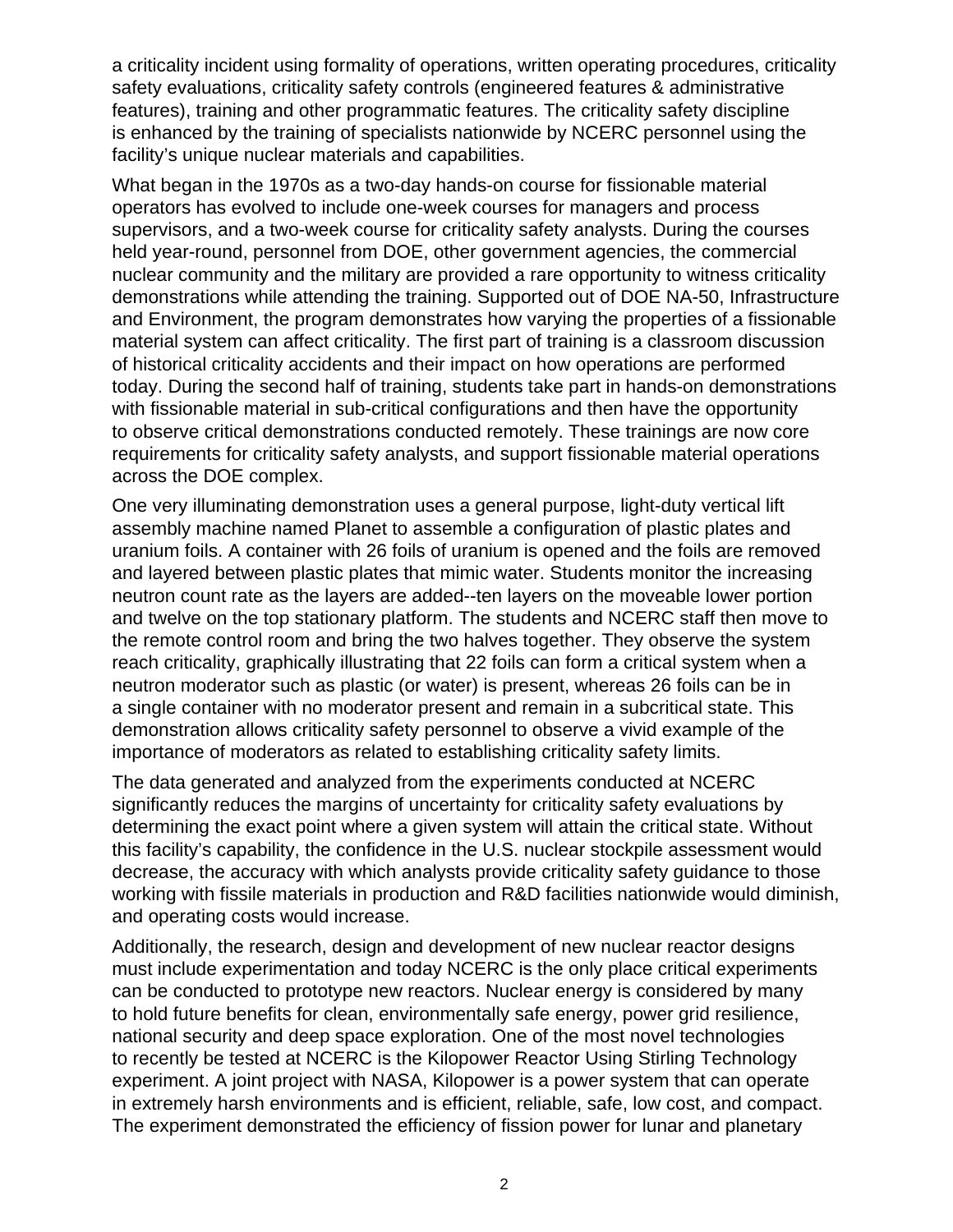a criticality incident using formality of operations, written operating procedures, criticality safety evaluations, criticality safety controls (engineered features & administrative features), training and other programmatic features. The criticality safety discipline is enhanced by the training of specialists nationwide by NCERC personnel using the facility's unique nuclear materials and capabilities.

What began in the 1970s as a two-day hands-on course for fissionable material operators has evolved to include one-week courses for managers and process supervisors, and a two-week course for criticality safety analysts. During the courses held year-round, personnel from DOE, other government agencies, the commercial nuclear community and the military are provided a rare opportunity to witness criticality demonstrations while attending the training. Supported out of DOE NA-50, Infrastructure and Environment, the program demonstrates how varying the properties of a fissionable material system can affect criticality. The first part of training is a classroom discussion of historical criticality accidents and their impact on how operations are performed today. During the second half of training, students take part in hands-on demonstrations with fissionable material in sub-critical configurations and then have the opportunity to observe critical demonstrations conducted remotely. These trainings are now core requirements for criticality safety analysts, and support fissionable material operations across the DOE complex.

One very illuminating demonstration uses a general purpose, light-duty vertical lift assembly machine named Planet to assemble a configuration of plastic plates and uranium foils. A container with 26 foils of uranium is opened and the foils are removed and layered between plastic plates that mimic water. Students monitor the increasing neutron count rate as the layers are added--ten layers on the moveable lower portion and twelve on the top stationary platform. The students and NCERC staff then move to the remote control room and bring the two halves together. They observe the system reach criticality, graphically illustrating that 22 foils can form a critical system when a neutron moderator such as plastic (or water) is present, whereas 26 foils can be in a single container with no moderator present and remain in a subcritical state. This demonstration allows criticality safety personnel to observe a vivid example of the importance of moderators as related to establishing criticality safety limits.

The data generated and analyzed from the experiments conducted at NCERC significantly reduces the margins of uncertainty for criticality safety evaluations by determining the exact point where a given system will attain the critical state. Without this facility's capability, the confidence in the U.S. nuclear stockpile assessment would decrease, the accuracy with which analysts provide criticality safety guidance to those working with fissile materials in production and R&D facilities nationwide would diminish, and operating costs would increase.

Additionally, the research, design and development of new nuclear reactor designs must include experimentation and today NCERC is the only place critical experiments can be conducted to prototype new reactors. Nuclear energy is considered by many to hold future benefits for clean, environmentally safe energy, power grid resilience, national security and deep space exploration. One of the most novel technologies to recently be tested at NCERC is the Kilopower Reactor Using Stirling Technology experiment. A joint project with NASA, Kilopower is a power system that can operate in extremely harsh environments and is efficient, reliable, safe, low cost, and compact. The experiment demonstrated the efficiency of fission power for lunar and planetary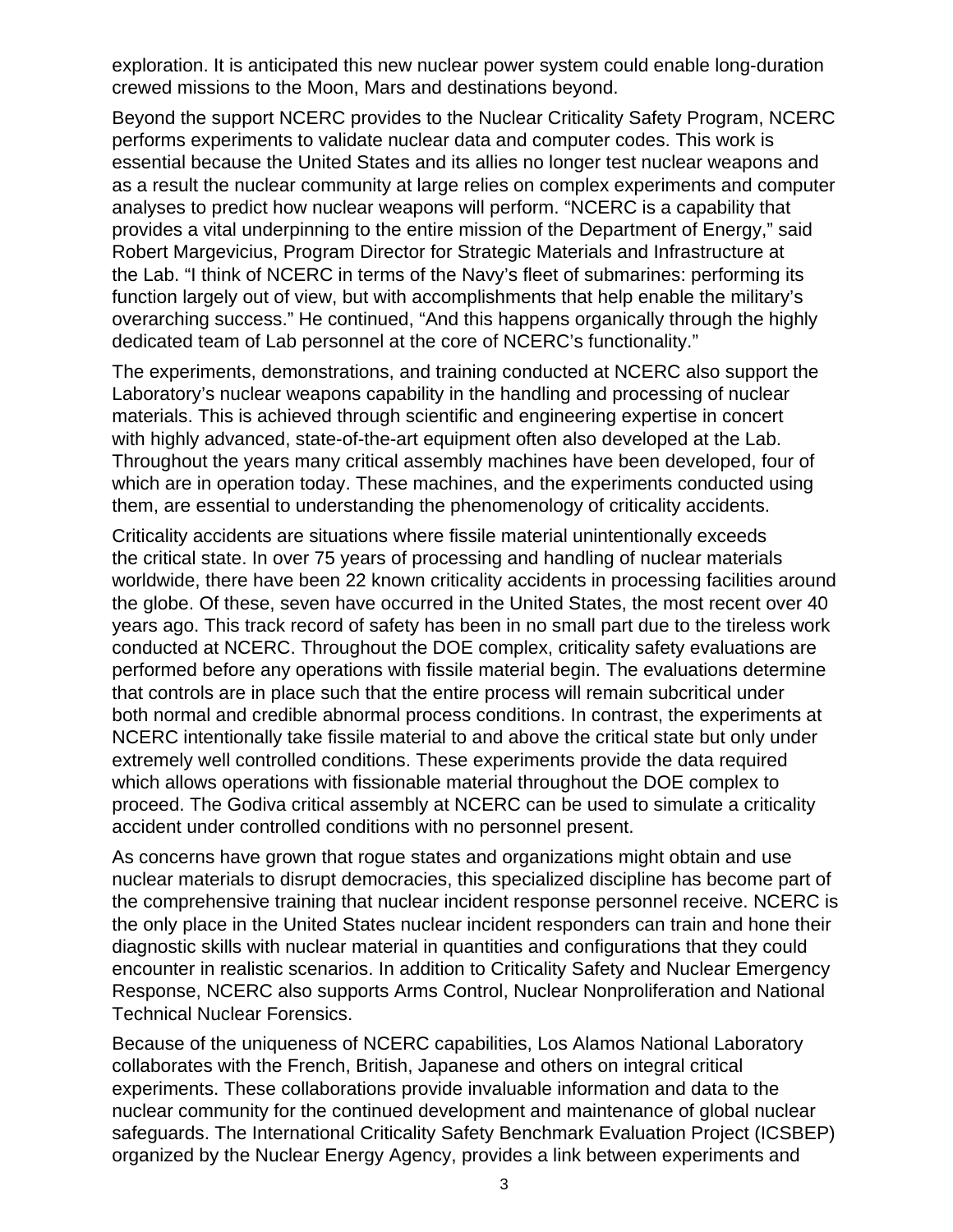exploration. It is anticipated this new nuclear power system could enable long-duration crewed missions to the Moon, Mars and destinations beyond.

Beyond the support NCERC provides to the Nuclear Criticality Safety Program, NCERC performs experiments to validate nuclear data and computer codes. This work is essential because the United States and its allies no longer test nuclear weapons and as a result the nuclear community at large relies on complex experiments and computer analyses to predict how nuclear weapons will perform. "NCERC is a capability that provides a vital underpinning to the entire mission of the Department of Energy," said Robert Margevicius, Program Director for Strategic Materials and Infrastructure at the Lab. "I think of NCERC in terms of the Navy's fleet of submarines: performing its function largely out of view, but with accomplishments that help enable the military's overarching success." He continued, "And this happens organically through the highly dedicated team of Lab personnel at the core of NCERC's functionality."

The experiments, demonstrations, and training conducted at NCERC also support the Laboratory's nuclear weapons capability in the handling and processing of nuclear materials. This is achieved through scientific and engineering expertise in concert with highly advanced, state-of-the-art equipment often also developed at the Lab. Throughout the years many critical assembly machines have been developed, four of which are in operation today. These machines, and the experiments conducted using them, are essential to understanding the phenomenology of criticality accidents.

Criticality accidents are situations where fissile material unintentionally exceeds the critical state. In over 75 years of processing and handling of nuclear materials worldwide, there have been 22 known criticality accidents in processing facilities around the globe. Of these, seven have occurred in the United States, the most recent over 40 years ago. This track record of safety has been in no small part due to the tireless work conducted at NCERC. Throughout the DOE complex, criticality safety evaluations are performed before any operations with fissile material begin. The evaluations determine that controls are in place such that the entire process will remain subcritical under both normal and credible abnormal process conditions. In contrast, the experiments at NCERC intentionally take fissile material to and above the critical state but only under extremely well controlled conditions. These experiments provide the data required which allows operations with fissionable material throughout the DOE complex to proceed. The Godiva critical assembly at NCERC can be used to simulate a criticality accident under controlled conditions with no personnel present.

As concerns have grown that rogue states and organizations might obtain and use nuclear materials to disrupt democracies, this specialized discipline has become part of the comprehensive training that nuclear incident response personnel receive. NCERC is the only place in the United States nuclear incident responders can train and hone their diagnostic skills with nuclear material in quantities and configurations that they could encounter in realistic scenarios. In addition to Criticality Safety and Nuclear Emergency Response, NCERC also supports Arms Control, Nuclear Nonproliferation and National Technical Nuclear Forensics.

Because of the uniqueness of NCERC capabilities, Los Alamos National Laboratory collaborates with the French, British, Japanese and others on integral critical experiments. These collaborations provide invaluable information and data to the nuclear community for the continued development and maintenance of global nuclear safeguards. The International Criticality Safety Benchmark Evaluation Project (ICSBEP) organized by the Nuclear Energy Agency, provides a link between experiments and